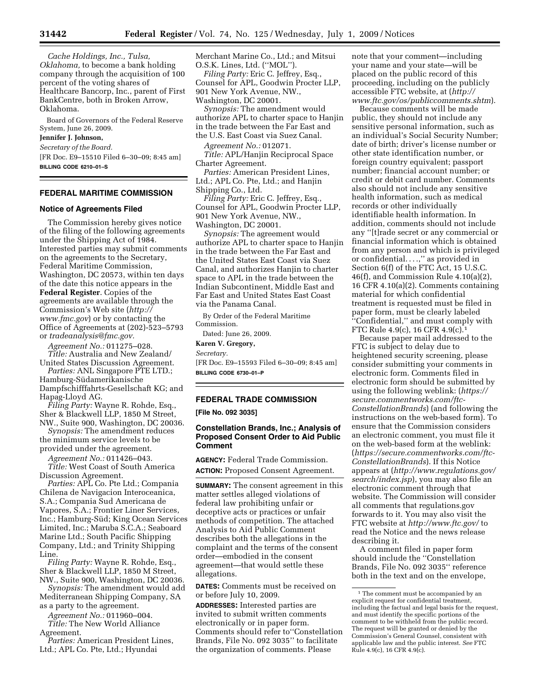*Cache Holdings, Inc., Tulsa, Oklahoma,* to become a bank holding company through the acquisition of 100 percent of the voting shares of Healthcare Bancorp, Inc., parent of First BankCentre, both in Broken Arrow, Oklahoma.

Board of Governors of the Federal Reserve System, June 26, 2009.

## **Jennifer J. Johnson,**

*Secretary of the Board.* 

[FR Doc. E9–15510 Filed 6–30–09; 8:45 am] **BILLING CODE 6210–01–S** 

# **FEDERAL MARITIME COMMISSION**

## **Notice of Agreements Filed**

The Commission hereby gives notice of the filing of the following agreements under the Shipping Act of 1984. Interested parties may submit comments on the agreements to the Secretary, Federal Maritime Commission, Washington, DC 20573, within ten days of the date this notice appears in the **Federal Register**. Copies of the agreements are available through the Commission's Web site (*http:// www.fmc.gov*) or by contacting the Office of Agreements at (202)-523–5793 or *tradeanalysis@fmc.gov.* 

*Agreement No.:* 011275–028. *Title:* Australia and New Zealand/ United States Discussion Agreement.

*Parties:* ANL Singapore PTE LTD.; Hamburg-Südamerikanische Dampfschifffahrts-Gesellschaft KG; and Hapag-Lloyd AG.

*Filing Party:* Wayne R. Rohde, Esq., Sher & Blackwell LLP, 1850 M Street, NW., Suite 900, Washington, DC 20036.

*Synopsis:* The amendment reduces the minimum service levels to be

provided under the agreement. *Agreement No.:* 011426–043.

*Title:* West Coast of South America Discussion Agreement.

*Parties:* APL Co. Pte Ltd.; Compania Chilena de Navigacion Interoceanica, S.A.; Compania Sud Americana de Vapores, S.A.; Frontier Liner Services, Inc.; Hamburg-Süd; King Ocean Services Limited, Inc.; Maruba S.C.A.; Seaboard Marine Ltd.; South Pacific Shipping Company, Ltd.; and Trinity Shipping Line.

*Filing Party:* Wayne R. Rohde, Esq., Sher & Blackwell LLP, 1850 M Street, NW., Suite 900, Washington, DC 20036.

*Synopsis:* The amendment would add Mediterranean Shipping Company, SA as a party to the agreement.

*Agreement No.:* 011960–004. *Title:* The New World Alliance Agreement.

*Parties:* American President Lines, Ltd.; APL Co. Pte, Ltd.; Hyundai

Merchant Marine Co., Ltd.; and Mitsui O.S.K. Lines, Ltd. (''MOL'').

*Filing Party:* Eric C. Jeffrey, Esq., Counsel for APL, Goodwin Procter LLP, 901 New York Avenue, NW., Washington, DC 20001.

*Synopsis:* The amendment would authorize APL to charter space to Hanjin in the trade between the Far East and the U.S. East Coast via Suez Canal.

*Agreement No.:* 012071.

*Title:* APL/Hanjin Reciprocal Space Charter Agreement.

*Parties:* American President Lines, Ltd.; APL Co. Pte, Ltd.; and Hanjin Shipping Co., Ltd.

*Filing Party:* Eric C. Jeffrey, Esq., Counsel for APL, Goodwin Procter LLP, 901 New York Avenue, NW., Washington, DC 20001.

*Synopsis:* The agreement would authorize APL to charter space to Hanjin in the trade between the Far East and the United States East Coast via Suez Canal, and authorizes Hanjin to charter space to APL in the trade between the Indian Subcontinent, Middle East and Far East and United States East Coast via the Panama Canal.

By Order of the Federal Maritime Commission.

Dated: June 26, 2009.

## **Karen V. Gregory,**

*Secretary.* 

[FR Doc. E9–15593 Filed 6–30–09; 8:45 am] **BILLING CODE 6730–01–P** 

# **FEDERAL TRADE COMMISSION**

**[File No. 092 3035]** 

## **Constellation Brands, Inc.; Analysis of Proposed Consent Order to Aid Public Comment**

**AGENCY:** Federal Trade Commission. **ACTION:** Proposed Consent Agreement.

**SUMMARY:** The consent agreement in this matter settles alleged violations of federal law prohibiting unfair or deceptive acts or practices or unfair methods of competition. The attached Analysis to Aid Public Comment describes both the allegations in the complaint and the terms of the consent order—embodied in the consent agreement—that would settle these allegations.

**DATES:** Comments must be received on or before July 10, 2009.

**ADDRESSES:** Interested parties are invited to submit written comments electronically or in paper form. Comments should refer to''Constellation Brands, File No. 092 3035'' to facilitate the organization of comments. Please

note that your comment—including your name and your state—will be placed on the public record of this proceeding, including on the publicly accessible FTC website, at (*http:// www.ftc.gov/os/publiccomments.shtm*).

Because comments will be made public, they should not include any sensitive personal information, such as an individual's Social Security Number; date of birth; driver's license number or other state identification number, or foreign country equivalent; passport number; financial account number; or credit or debit card number. Comments also should not include any sensitive health information, such as medical records or other individually identifiable health information. In addition, comments should not include any ''[t]rade secret or any commercial or financial information which is obtained from any person and which is privileged or confidential. . . .,'' as provided in Section 6(f) of the FTC Act, 15 U.S.C. 46(f), and Commission Rule 4.10(a)(2), 16 CFR 4.10(a)(2). Comments containing material for which confidential treatment is requested must be filed in paper form, must be clearly labeled ''Confidential,'' and must comply with FTC Rule 4.9(c), 16 CFR 4.9(c).1

Because paper mail addressed to the FTC is subject to delay due to heightened security screening, please consider submitting your comments in electronic form. Comments filed in electronic form should be submitted by using the following weblink: (*https:// secure.commentworks.com/ftc-ConstellationBrands*) (and following the instructions on the web-based form). To ensure that the Commission considers an electronic comment, you must file it on the web-based form at the weblink: (*https://secure.commentworks.com/ftc-ConstellationBrands*). If this Notice appears at (*http://www.regulations.gov/ search/index.jsp*), you may also file an electronic comment through that website. The Commission will consider all comments that regulations.gov forwards to it. You may also visit the FTC website at *http://www.ftc.gov/* to read the Notice and the news release describing it.

A comment filed in paper form should include the ''Constellation Brands, File No. 092 3035'' reference both in the text and on the envelope,

<sup>1</sup> The comment must be accompanied by an explicit request for confidential treatment, including the factual and legal basis for the request, and must identify the specific portions of the comment to be withheld from the public record. The request will be granted or denied by the Commission's General Counsel, consistent with applicable law and the public interest. *See* FTC Rule 4.9(c), 16 CFR 4.9(c).